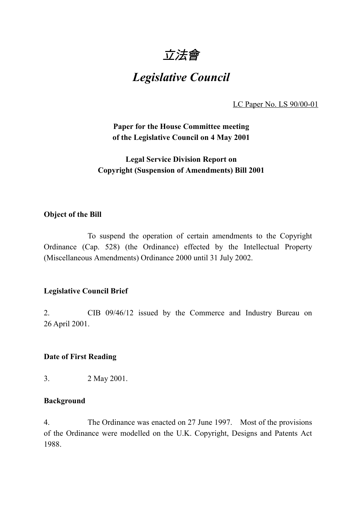

# *Legislative Council*

LC Paper No. LS 90/00-01

**Paper for the House Committee meeting of the Legislative Council on 4 May 2001**

# **Legal Service Division Report on Copyright (Suspension of Amendments) Bill 2001**

#### **Object of the Bill**

To suspend the operation of certain amendments to the Copyright Ordinance (Cap. 528) (the Ordinance) effected by the Intellectual Property (Miscellaneous Amendments) Ordinance 2000 until 31 July 2002.

# **Legislative Council Brief**

2. CIB 09/46/12 issued by the Commerce and Industry Bureau on 26 April 2001.

#### **Date of First Reading**

3. 2 May 2001.

#### **Background**

4. The Ordinance was enacted on 27 June 1997. Most of the provisions of the Ordinance were modelled on the U.K. Copyright, Designs and Patents Act 1988.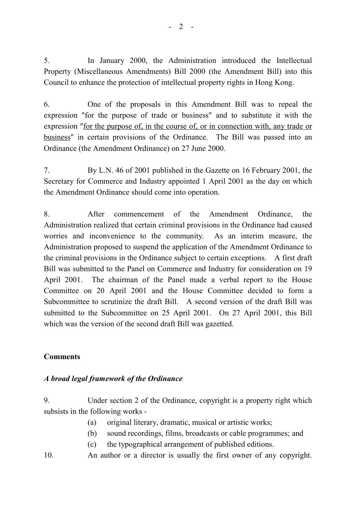5. In January 2000, the Administration introduced the Intellectual Property (Miscellaneous Amendments) Bill 2000 (the Amendment Bill) into this Council to enhance the protection of intellectual property rights in Hong Kong.

6. One of the proposals in this Amendment Bill was to repeal the expression "for the purpose of trade or business" and to substitute it with the expression "for the purpose of, in the course of, or in connection with, any trade or business" in certain provisions of the Ordinance. The Bill was passed into an Ordinance (the Amendment Ordinance) on 27 June 2000.

7. By L.N. 46 of 2001 published in the Gazette on 16 February 2001, the Secretary for Commerce and Industry appointed 1 April 2001 as the day on which the Amendment Ordinance should come into operation.

8. After commencement of the Amendment Ordinance, the Administration realized that certain criminal provisions in the Ordinance had caused worries and inconvenience to the community. As an interim measure, the Administration proposed to suspend the application of the Amendment Ordinance to the criminal provisions in the Ordinance subject to certain exceptions. A first draft Bill was submitted to the Panel on Commerce and Industry for consideration on 19 April 2001. The chairman of the Panel made a verbal report to the House Committee on 20 April 2001 and the House Committee decided to form a Subcommittee to scrutinize the draft Bill. A second version of the draft Bill was submitted to the Subcommittee on 25 April 2001. On 27 April 2001, this Bill which was the version of the second draft Bill was gazetted.

# **Comments**

# *A broad legal framework of the Ordinance*

9. Under section 2 of the Ordinance, copyright is a property right which subsists in the following works -

- (a) original literary, dramatic, musical or artistic works;
- (b) sound recordings, films, broadcasts or cable programmes; and
- (c) the typographical arrangement of published editions.
- 10. An author or a director is usually the first owner of any copyright.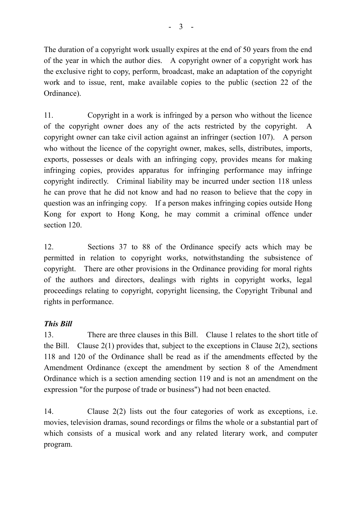The duration of a copyright work usually expires at the end of 50 years from the end of the year in which the author dies. A copyright owner of a copyright work has the exclusive right to copy, perform, broadcast, make an adaptation of the copyright work and to issue, rent, make available copies to the public (section 22 of the Ordinance).

11. Copyright in a work is infringed by a person who without the licence of the copyright owner does any of the acts restricted by the copyright. A copyright owner can take civil action against an infringer (section 107). A person who without the licence of the copyright owner, makes, sells, distributes, imports, exports, possesses or deals with an infringing copy, provides means for making infringing copies, provides apparatus for infringing performance may infringe copyright indirectly. Criminal liability may be incurred under section 118 unless he can prove that he did not know and had no reason to believe that the copy in question was an infringing copy. If a person makes infringing copies outside Hong Kong for export to Hong Kong, he may commit a criminal offence under section 120.

12. Sections 37 to 88 of the Ordinance specify acts which may be permitted in relation to copyright works, notwithstanding the subsistence of copyright. There are other provisions in the Ordinance providing for moral rights of the authors and directors, dealings with rights in copyright works, legal proceedings relating to copyright, copyright licensing, the Copyright Tribunal and rights in performance.

# *This Bill*

13. There are three clauses in this Bill. Clause 1 relates to the short title of the Bill. Clause  $2(1)$  provides that, subject to the exceptions in Clause  $2(2)$ , sections 118 and 120 of the Ordinance shall be read as if the amendments effected by the Amendment Ordinance (except the amendment by section 8 of the Amendment Ordinance which is a section amending section 119 and is not an amendment on the expression "for the purpose of trade or business") had not been enacted.

14. Clause 2(2) lists out the four categories of work as exceptions, i.e. movies, television dramas, sound recordings or films the whole or a substantial part of which consists of a musical work and any related literary work, and computer program.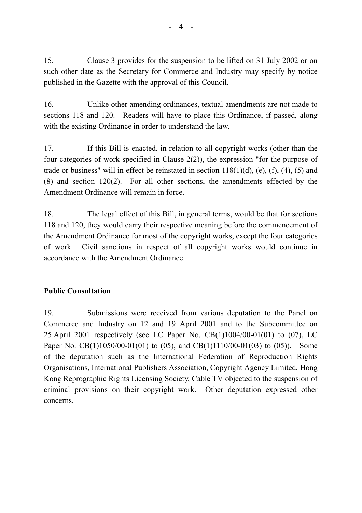15. Clause 3 provides for the suspension to be lifted on 31 July 2002 or on such other date as the Secretary for Commerce and Industry may specify by notice published in the Gazette with the approval of this Council.

16. Unlike other amending ordinances, textual amendments are not made to sections 118 and 120. Readers will have to place this Ordinance, if passed, along with the existing Ordinance in order to understand the law.

17. If this Bill is enacted, in relation to all copyright works (other than the four categories of work specified in Clause 2(2)), the expression "for the purpose of trade or business" will in effect be reinstated in section  $118(1)(d)$ , (e), (f), (4), (5) and (8) and section 120(2). For all other sections, the amendments effected by the Amendment Ordinance will remain in force.

18. The legal effect of this Bill, in general terms, would be that for sections 118 and 120, they would carry their respective meaning before the commencement of the Amendment Ordinance for most of the copyright works, except the four categories of work. Civil sanctions in respect of all copyright works would continue in accordance with the Amendment Ordinance.

# **Public Consultation**

19. Submissions were received from various deputation to the Panel on Commerce and Industry on 12 and 19 April 2001 and to the Subcommittee on 25 April 2001 respectively (see LC Paper No. CB(1)1004/00-01(01) to (07), LC Paper No. CB(1)1050/00-01(01) to (05), and CB(1)1110/00-01(03) to (05)). Some of the deputation such as the International Federation of Reproduction Rights Organisations, International Publishers Association, Copyright Agency Limited, Hong Kong Reprographic Rights Licensing Society, Cable TV objected to the suspension of criminal provisions on their copyright work. Other deputation expressed other concerns.